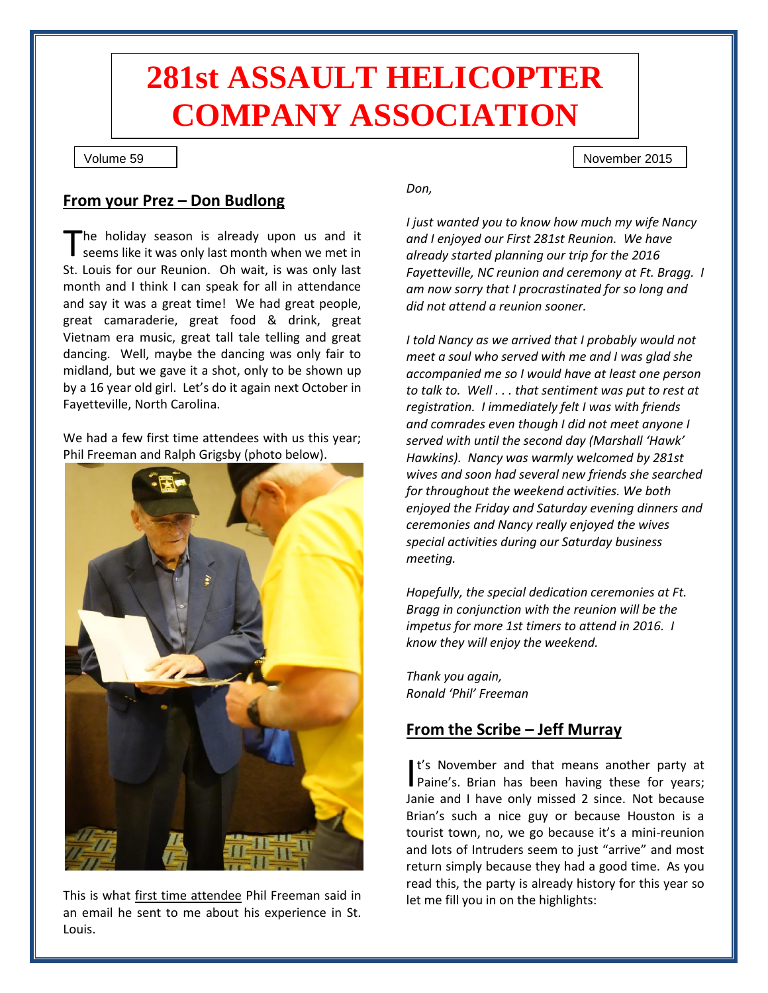# **281st ASSAULT HELICOPTER COMPANY ASSOCIATION**

### Volume 59

5959

## **From your Prez – Don Budlong**

The holiday season is already upon us and it seems like it was only last month when we met in St. Louis for our Reunion. Oh wait, is was only last month and I think I can speak for all in attendance and say it was a great time! We had great people, great camaraderie, great food & drink, great Vietnam era music, great tall tale telling and great dancing. Well, maybe the dancing was only fair to midland, but we gave it a shot, only to be shown up by a 16 year old girl. Let's do it again next October in Fayetteville, North Carolina. T

We had a few first time attendees with us this year; Phil Freeman and Ralph Grigsby (photo below).



This is what first time attendee Phil Freeman said in an email he sent to me about his experience in St. Louis.

*Don,*

*I just wanted you to know how much my wife Nancy and I enjoyed our First 281st Reunion. We have already started planning our trip for the 2016 Fayetteville, NC reunion and ceremony at Ft. Bragg. I am now sorry that I procrastinated for so long and did not attend a reunion sooner.*

November 2015

*I told Nancy as we arrived that I probably would not meet a soul who served with me and I was glad she accompanied me so I would have at least one person to talk to. Well . . . that sentiment was put to rest at registration. I immediately felt I was with friends and comrades even though I did not meet anyone I served with until the second day (Marshall 'Hawk' Hawkins). Nancy was warmly welcomed by 281st wives and soon had several new friends she searched for throughout the weekend activities. We both enjoyed the Friday and Saturday evening dinners and ceremonies and Nancy really enjoyed the wives special activities during our Saturday business meeting.*

*Hopefully, the special dedication ceremonies at Ft. Bragg in conjunction with the reunion will be the impetus for more 1st timers to attend in 2016. I know they will enjoy the weekend.*

*Thank you again, Ronald 'Phil' Freeman*

## **From the Scribe – Jeff Murray**

It's November and that means another party at It's November and that means another party at<br>Paine's. Brian has been having these for years; Janie and I have only missed 2 since. Not because Brian's such a nice guy or because Houston is a tourist town, no, we go because it's a mini-reunion and lots of Intruders seem to just "arrive" and most return simply because they had a good time. As you read this, the party is already history for this year so let me fill you in on the highlights: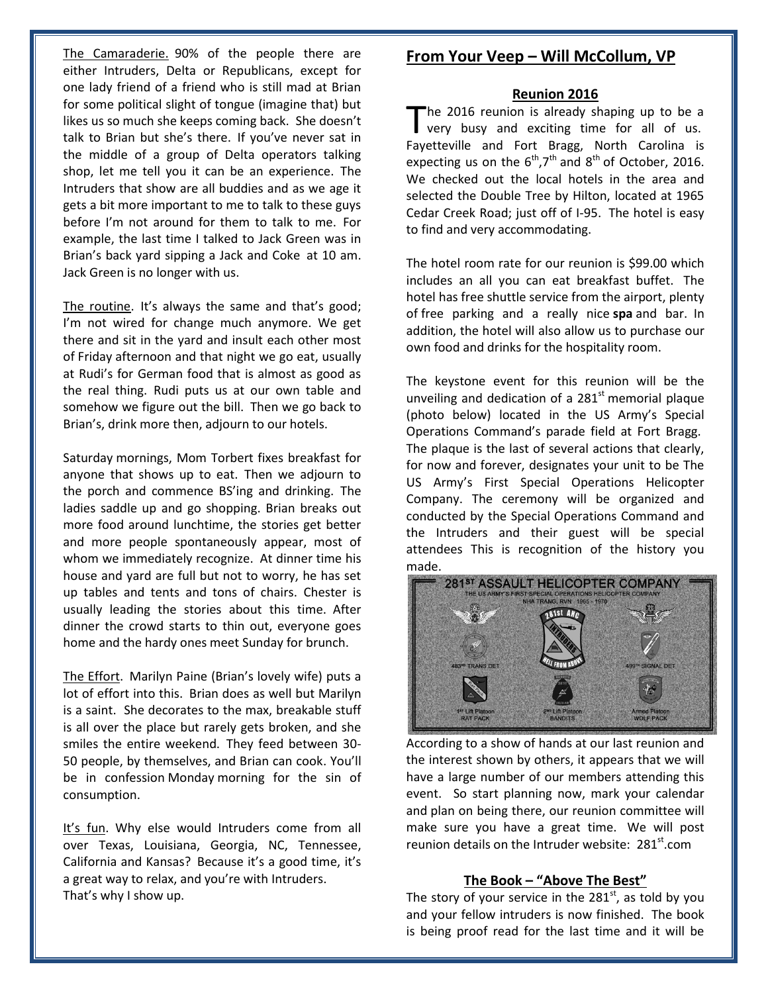The Camaraderie. 90% of the people there are either Intruders, Delta or Republicans, except for one lady friend of a friend who is still mad at Brian for some political slight of tongue (imagine that) but likes us so much she keeps coming back. She doesn't talk to Brian but she's there. If you've never sat in the middle of a group of Delta operators talking shop, let me tell you it can be an experience. The Intruders that show are all buddies and as we age it gets a bit more important to me to talk to these guys before I'm not around for them to talk to me. For example, the last time I talked to Jack Green was in Brian's back yard sipping a Jack and Coke at 10 am. Jack Green is no longer with us.

The routine. It's always the same and that's good; I'm not wired for change much anymore. We get there and sit in the yard and insult each other most of Friday afternoon and that night we go eat, usually at Rudi's for German food that is almost as good as the real thing. Rudi puts us at our own table and somehow we figure out the bill. Then we go back to Brian's, drink more then, adjourn to our hotels.

Saturday mornings, Mom Torbert fixes breakfast for anyone that shows up to eat. Then we adjourn to the porch and commence BS'ing and drinking. The ladies saddle up and go shopping. Brian breaks out more food around lunchtime, the stories get better and more people spontaneously appear, most of whom we immediately recognize. At dinner time his house and yard are full but not to worry, he has set up tables and tents and tons of chairs. Chester is usually leading the stories about this time. After dinner the crowd starts to thin out, everyone goes home and the hardy ones meet Sunday for brunch.

The Effort. Marilyn Paine (Brian's lovely wife) puts a lot of effort into this. Brian does as well but Marilyn is a saint. She decorates to the max, breakable stuff is all over the place but rarely gets broken, and she smiles the entire weekend. They feed between 30- 50 people, by themselves, and Brian can cook. You'll be in confession Monday morning for the sin of consumption.

It's fun. Why else would Intruders come from all over Texas, Louisiana, Georgia, NC, Tennessee, California and Kansas? Because it's a good time, it's a great way to relax, and you're with Intruders. That's why I show up.

## **From Your Veep – Will McCollum, VP**

#### **Reunion 2016**

he 2016 reunion is already shaping up to be a very busy and exciting time for all of us. The 2016 reunion is already shaping up to be a<br>very busy and exciting time for all of us.<br>Fayetteville and Fort Bragg, North Carolina is expecting us on the  $6<sup>th</sup>$ ,  $7<sup>th</sup>$  and  $8<sup>th</sup>$  of October, 2016. We checked out the local hotels in the area and selected the Double Tree by Hilton, located at 1965 Cedar Creek Road; just off of I-95. The hotel is easy to find and very accommodating.

The hotel room rate for our reunion is \$99.00 which includes an all you can eat breakfast buffet. The hotel has free shuttle service from the airport, plenty of free parking and a really nice **spa** and bar. In addition, the hotel will also allow us to purchase our own food and drinks for the hospitality room.

The keystone event for this reunion will be the unveiling and dedication of a  $281<sup>st</sup>$  memorial plaque (photo below) located in the US Army's Special Operations Command's parade field at Fort Bragg. The plaque is the last of several actions that clearly, for now and forever, designates your unit to be The US Army's First Special Operations Helicopter Company. The ceremony will be organized and conducted by the Special Operations Command and the Intruders and their guest will be special attendees This is recognition of the history you made.



According to a show of hands at our last reunion and the interest shown by others, it appears that we will have a large number of our members attending this event. So start planning now, mark your calendar and plan on being there, our reunion committee will make sure you have a great time. We will post reunion details on the Intruder website:  $281<sup>st</sup>$ .com

#### **The Book – "Above The Best"**

The story of your service in the  $281<sup>st</sup>$ , as told by you and your fellow intruders is now finished. The book is being proof read for the last time and it will be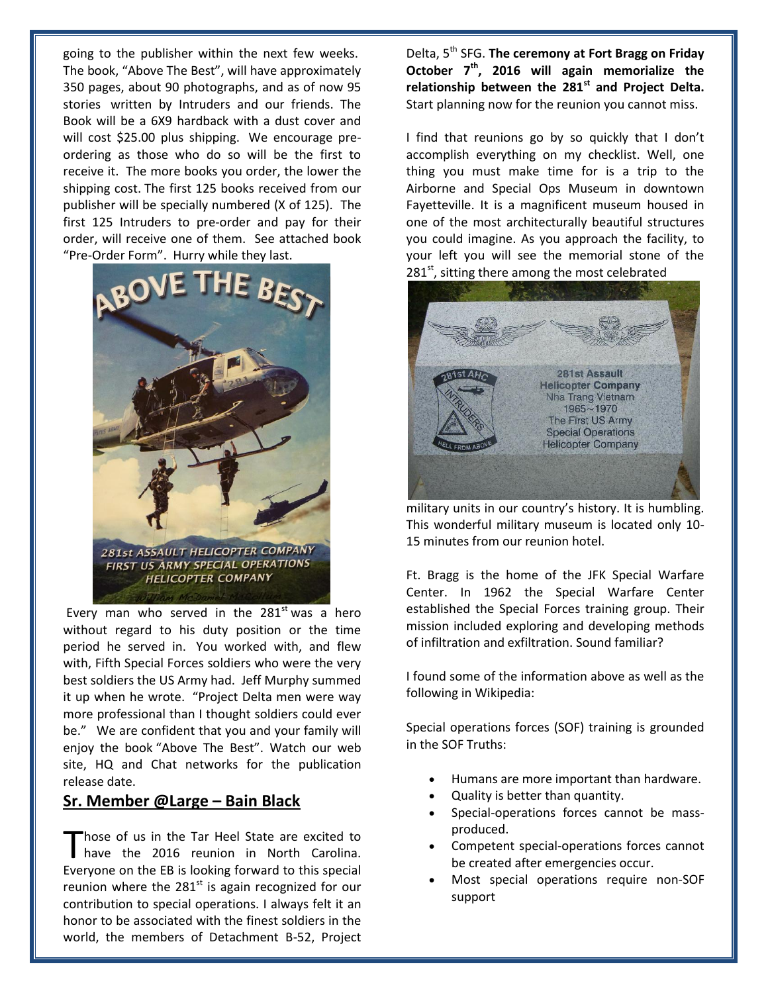going to the publisher within the next few weeks. The book, "Above The Best", will have approximately 350 pages, about 90 photographs, and as of now 95 stories written by Intruders and our friends. The Book will be a 6X9 hardback with a dust cover and will cost \$25.00 plus shipping. We encourage preordering as those who do so will be the first to receive it. The more books you order, the lower the shipping cost. The first 125 books received from our publisher will be specially numbered (X of 125). The first 125 Intruders to pre-order and pay for their order, will receive one of them. See attached book "Pre-Order Form". Hurry while they last.



Every man who served in the  $281<sup>st</sup>$  was a hero without regard to his duty position or the time period he served in. You worked with, and flew with, Fifth Special Forces soldiers who were the very best soldiers the US Army had. Jeff Murphy summed it up when he wrote. "Project Delta men were way more professional than I thought soldiers could ever be." We are confident that you and your family will enjoy the book "Above The Best". Watch our web site, HQ and Chat networks for the publication release date.

## **Sr. Member @Large – Bain Black**

hose of us in the Tar Heel State are excited to Those of us in the Tar Heel State are excited to<br>have the 2016 reunion in North Carolina. Everyone on the EB is looking forward to this special reunion where the  $281<sup>st</sup>$  is again recognized for our contribution to special operations. I always felt it an honor to be associated with the finest soldiers in the world, the members of Detachment B-52, Project

Delta, 5th SFG. **The ceremony at Fort Bragg on Friday October 7th, 2016 will again memorialize the relationship between the 281st and Project Delta.** Start planning now for the reunion you cannot miss.

I find that reunions go by so quickly that I don't accomplish everything on my checklist. Well, one thing you must make time for is a trip to the Airborne and Special Ops Museum in downtown Fayetteville. It is a magnificent museum housed in one of the most architecturally beautiful structures you could imagine. As you approach the facility, to your left you will see the memorial stone of the 281<sup>st</sup>, sitting there among the most celebrated



military units in our country's history. It is humbling. This wonderful military museum is located only 10- 15 minutes from our reunion hotel.

Ft. Bragg is the home of the JFK Special Warfare Center. In 1962 the Special Warfare Center established the Special Forces training group. Their mission included exploring and developing methods of infiltration and exfiltration. Sound familiar?

I found some of the information above as well as the following in Wikipedia:

Special operations forces (SOF) training is grounded in the SOF Truths:

- Humans are more important than hardware.
- Quality is better than quantity.
- Special-operations forces cannot be massproduced.
- Competent special-operations forces cannot be created after emergencies occur.
- Most special operations require non-SOF support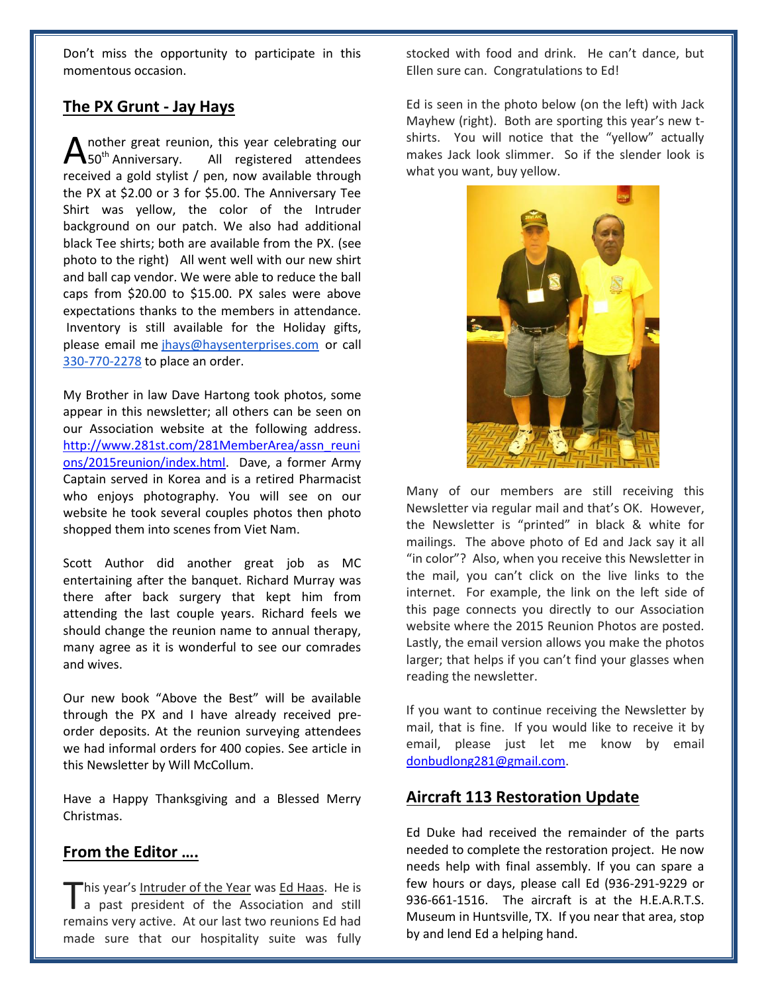Don't miss the opportunity to participate in this momentous occasion.

## **The PX Grunt - Jay Hays**

nother great reunion, this year celebrating our All registered attendees received a gold stylist / pen, now available through the PX at \$2.00 or 3 for \$5.00. The Anniversary Tee Shirt was yellow, the color of the Intruder background on our patch. We also had additional black Tee shirts; both are available from the PX. (see photo to the right) All went well with our new shirt and ball cap vendor. We were able to reduce the ball caps from \$20.00 to \$15.00. PX sales were above expectations thanks to the members in attendance. Inventory is still available for the Holiday gifts, please email me [jhays@haysenterprises.com](mailto:jhays@haysenterprises.com) or call [330-770-2278](tel:330-770-2278) to place an order.  $\sum_{50^{th}}$  Anniversary.

My Brother in law Dave Hartong took photos, some appear in this newsletter; all others can be seen on our Association website at the following address. [http://www.281st.com/281MemberArea/assn\\_reuni](http://www.281st.com/281MemberArea/assn_reunions/2015reunion/index.html) [ons/2015reunion/index.html.](http://www.281st.com/281MemberArea/assn_reunions/2015reunion/index.html) Dave, a former Army Captain served in Korea and is a retired Pharmacist who enjoys photography. You will see on our website he took several couples photos then photo shopped them into scenes from Viet Nam.

Scott Author did another great job as MC entertaining after the banquet. Richard Murray was there after back surgery that kept him from attending the last couple years. Richard feels we should change the reunion name to annual therapy, many agree as it is wonderful to see our comrades and wives.

Our new book "Above the Best" will be available through the PX and I have already received preorder deposits. At the reunion surveying attendees we had informal orders for 400 copies. See article in this Newsletter by Will McCollum.

Have a Happy Thanksgiving and a Blessed Merry Christmas.

## **From the Editor ….**

"his year's Intruder of the Year was Ed Haas. He is This year's <u>Intruder of the Year</u> was <u>Ed Haas</u>. He is<br>a past president of the Association and still remains very active. At our last two reunions Ed had made sure that our hospitality suite was fully stocked with food and drink. He can't dance, but Ellen sure can. Congratulations to Ed!

Ed is seen in the photo below (on the left) with Jack Mayhew (right). Both are sporting this year's new tshirts. You will notice that the "yellow" actually makes Jack look slimmer. So if the slender look is what you want, buy yellow.



Many of our members are still receiving this Newsletter via regular mail and that's OK. However, the Newsletter is "printed" in black & white for mailings. The above photo of Ed and Jack say it all "in color"? Also, when you receive this Newsletter in the mail, you can't click on the live links to the internet. For example, the link on the left side of this page connects you directly to our Association website where the 2015 Reunion Photos are posted. Lastly, the email version allows you make the photos larger; that helps if you can't find your glasses when reading the newsletter.

If you want to continue receiving the Newsletter by mail, that is fine. If you would like to receive it by email, please just let me know by email [donbudlong281@gmail.com.](mailto:donbudlong281@gmail.com)

## **Aircraft 113 Restoration Update**

Ed Duke had received the remainder of the parts needed to complete the restoration project. He now needs help with final assembly. If you can spare a few hours or days, please call Ed (936-291-9229 or 936-661-1516. The aircraft is at the H.E.A.R.T.S. Museum in Huntsville, TX. If you near that area, stop by and lend Ed a helping hand.